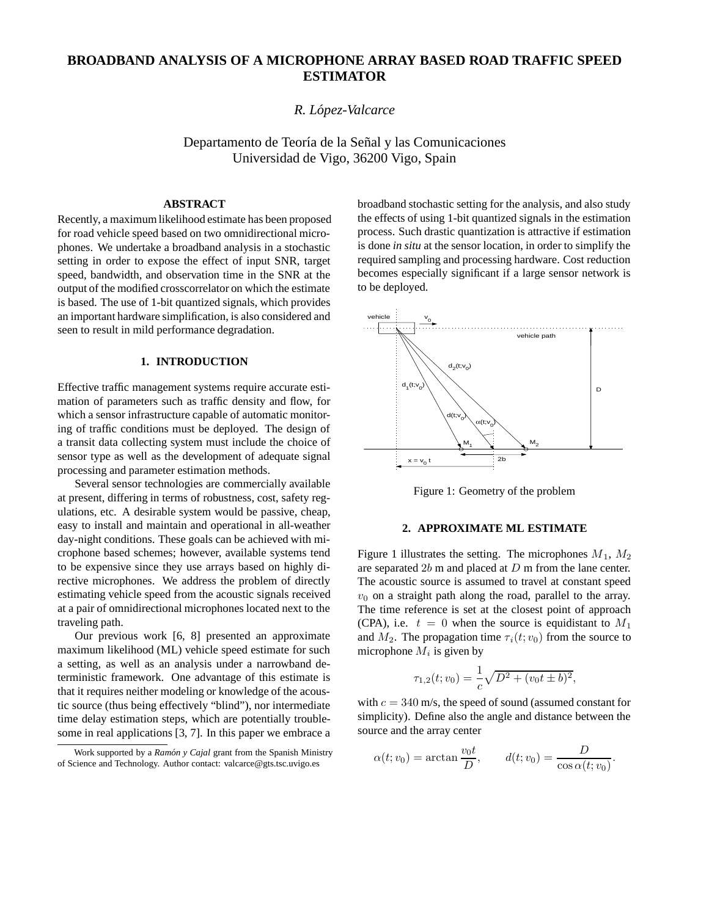# **BROADBAND ANALYSIS OF A MICROPHONE ARRAY BASED ROAD TRAFFIC SPEED ESTIMATOR**

*R. Lopez-Valcarce ´*

Departamento de Teoría de la Señal y las Comunicaciones Universidad de Vigo, 36200 Vigo, Spain

## **ABSTRACT**

Recently, a maximum likelihood estimate has been proposed for road vehicle speed based on two omnidirectional microphones. We undertake a broadband analysis in a stochastic setting in order to expose the effect of input SNR, target speed, bandwidth, and observation time in the SNR at the output of the modified crosscorrelator on which the estimate is based. The use of 1-bit quantized signals, which provides an important hardware simplification, is also considered and seen to result in mild performance degradation.

# **1. INTRODUCTION**

Effective traffic management systems require accurate estimation of parameters such as traffic density and flow, for which a sensor infrastructure capable of automatic monitoring of traffic conditions must be deployed. The design of a transit data collecting system must include the choice of sensor type as well as the development of adequate signal processing and parameter estimation methods.

Several sensor technologies are commercially available at present, differing in terms of robustness, cost, safety regulations, etc. A desirable system would be passive, cheap, easy to install and maintain and operational in all-weather day-night conditions. These goals can be achieved with microphone based schemes; however, available systems tend to be expensive since they use arrays based on highly directive microphones. We address the problem of directly estimating vehicle speed from the acoustic signals received at a pair of omnidirectional microphones located next to the traveling path.

Our previous work [6, 8] presented an approximate maximum likelihood (ML) vehicle speed estimate for such a setting, as well as an analysis under a narrowband deterministic framework. One advantage of this estimate is that it requires neither modeling or knowledge of the acoustic source (thus being effectively "blind"), nor intermediate time delay estimation steps, which are potentially troublesome in real applications [3, 7]. In this paper we embrace a broadband stochastic setting for the analysis, and also study the effects of using 1-bit quantized signals in the estimation process. Such drastic quantization is attractive if estimation is done *in situ* at the sensor location, in order to simplify the required sampling and processing hardware. Cost reduction becomes especially significant if a large sensor network is to be deployed.



Figure 1: Geometry of the problem

# **2. APPROXIMATE ML ESTIMATE**

Figure 1 illustrates the setting. The microphones  $M_1$ ,  $M_2$ are separated 2<sup>b</sup> m and placed at <sup>D</sup> m from the lane center. The acoustic source is assumed to travel at constant speed  $v_0$  on a straight path along the road, parallel to the array. The time reference is set at the closest point of approach (CPA), i.e.  $t = 0$  when the source is equidistant to  $M_1$ and  $M_2$ . The propagation time  $\tau_i(t; v_0)$  from the source to microphone  $M_i$  is given by

$$
\tau_{1,2}(t; v_0) = \frac{1}{c} \sqrt{D^2 + (v_0 t \pm b)^2},
$$

with  $c = 340$  m/s, the speed of sound (assumed constant for simplicity). Define also the angle and distance between the source and the array center

$$
\alpha(t; v_0) = \arctan \frac{v_0 t}{D}, \qquad d(t; v_0) = \frac{D}{\cos \alpha(t; v_0)}.
$$

Work supported by a *Ram´on y Cajal* grant from the Spanish Ministry of Science and Technology. Author contact: valcarce@gts.tsc.uvigo.es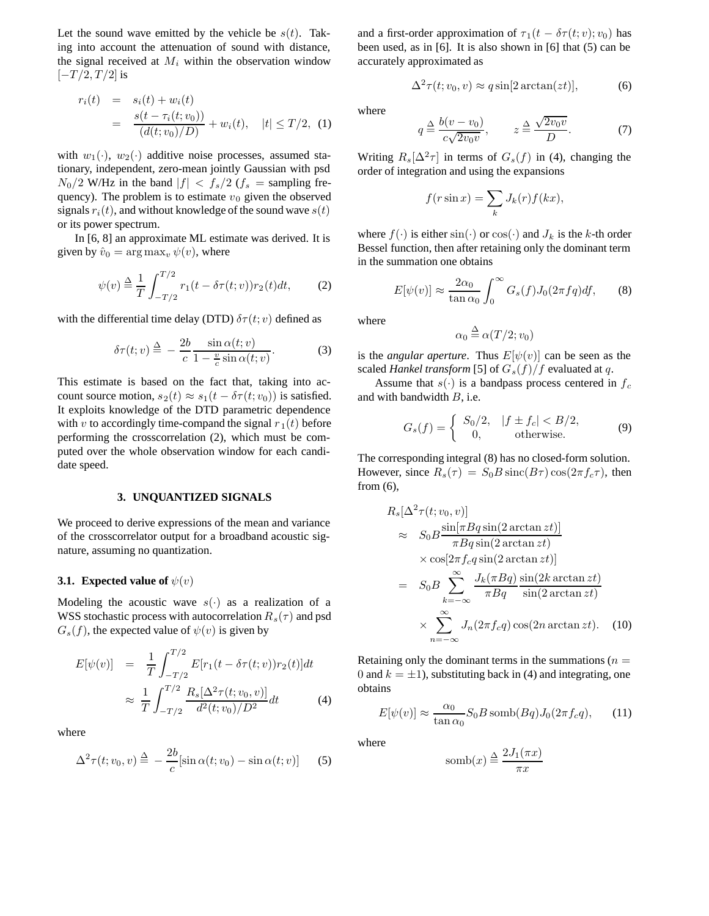Let the sound wave emitted by the vehicle be  $s(t)$ . Taking into account the attenuation of sound with distance, the signal received at  $M_i$  within the observation window  $[-T/2,T/2]$  is

$$
r_i(t) = s_i(t) + w_i(t)
$$
  
= 
$$
\frac{s(t - \tau_i(t; v_0))}{(d(t; v_0)/D)} + w_i(t), \quad |t| \leq T/2, \quad (1)
$$

with  $w_1(\cdot)$ ,  $w_2(\cdot)$  additive noise processes, assumed stationary, independent, zero-mean jointly Gaussian with psd  $N_0/2$  W/Hz in the band  $|f| < f_s/2$  ( $f_s$  = sampling frequency). The problem is to estimate  $v_0$  given the observed signals  $r_i(t)$ , and without knowledge of the sound wave  $s(t)$ or its power spectrum.

In [6, 8] an approximate ML estimate was derived. It is given by  $\hat{v}_0 = \arg \max_v \psi(v)$ , where

$$
\psi(v) \stackrel{\Delta}{=} \frac{1}{T} \int_{-T/2}^{T/2} r_1(t - \delta \tau(t; v)) r_2(t) dt, \tag{2}
$$

with the differential time delay (DTD)  $\delta\tau(t; v)$  defined as

$$
\delta\tau(t;v) \stackrel{\Delta}{=} -\frac{2b}{c} \frac{\sin \alpha(t;v)}{1 - \frac{v}{c} \sin \alpha(t;v)}.
$$
 (3)

This estimate is based on the fact that, taking into account source motion,  $s_2(t) \approx s_1(t - \delta \tau(t; v_0))$  is satisfied. It exploits knowledge of the DTD parametric dependence with v to accordingly time-compand the signal  $r_1(t)$  before performing the crosscorrelation (2), which must be computed over the whole observation window for each candidate speed.

### **3. UNQUANTIZED SIGNALS**

We proceed to derive expressions of the mean and variance of the crosscorrelator output for a broadband acoustic signature, assuming no quantization.

### **3.1.** Expected value of  $\psi(v)$

Modeling the acoustic wave  $s(\cdot)$  as a realization of a WSS stochastic process with autocorrelation  $R_s(\tau)$  and psd  $G_s(f)$ , the expected value of  $\psi(v)$  is given by

$$
E[\psi(v)] = \frac{1}{T} \int_{-T/2}^{T/2} E[r_1(t - \delta \tau(t; v))r_2(t)]dt
$$
  

$$
\approx \frac{1}{T} \int_{-T/2}^{T/2} \frac{R_s[\Delta^2 \tau(t; v_0, v)]}{d^2(t; v_0)/D^2} dt
$$
(4)

where

$$
\Delta^2 \tau(t; v_0, v) \stackrel{\Delta}{=} -\frac{2b}{c} [\sin \alpha(t; v_0) - \sin \alpha(t; v)] \qquad (5)
$$

and a first-order approximation of  $\tau_1(t - \delta \tau(t; v); v_0)$  has been used, as in [6]. It is also shown in [6] that (5) can be accurately approximated as

$$
\Delta^2 \tau(t; v_0, v) \approx q \sin[2 \arctan(zt)], \tag{6}
$$

where

$$
q \stackrel{\Delta}{=} \frac{b(v - v_0)}{c\sqrt{2v_0v}}, \qquad z \stackrel{\Delta}{=} \frac{\sqrt{2v_0v}}{D}.
$$
 (7)

Writing  $R_s[\Delta^2 \tau]$  in terms of  $G_s(f)$  in (4), changing the order of integration and using the expansions

$$
f(r\sin x) = \sum_{k} J_k(r) f(kx),
$$

where  $f(\cdot)$  is either  $\sin(\cdot)$  or  $\cos(\cdot)$  and  $J_k$  is the k-th order Bessel function, then after retaining only the dominant term in the summation one obtains

$$
E[\psi(v)] \approx \frac{2\alpha_0}{\tan \alpha_0} \int_0^\infty G_s(f) J_0(2\pi f q) df, \qquad (8)
$$

where

$$
\alpha_0 \stackrel{\Delta}{=} \alpha(T/2; v_0)
$$

is the *angular aperture*. Thus  $E[\psi(v)]$  can be seen as the scaled *Hankel transform* [5] of  $G_s(f)/f$  evaluated at q.

Assume that  $s(\cdot)$  is a bandpass process centered in  $f_c$ and with bandwidth B, i.e.

$$
G_s(f) = \begin{cases} S_0/2, & |f \pm f_c| < B/2, \\ 0, & \text{otherwise.} \end{cases} \tag{9}
$$

The corresponding integral (8) has no closed-form solution. However, since  $R_s(\tau) = S_0 B \operatorname{sinc}(B\tau) \cos(2\pi f_c \tau)$ , then from  $(6)$ ,

$$
R_s[\Delta^2 \tau(t; v_0, v)]
$$
  
\n
$$
\approx S_0 B \frac{\sin[\pi Bq \sin(2 \arctan z t)]}{\pi Bq \sin(2 \arctan z t)}
$$
  
\n
$$
\times \cos[2\pi f_c q \sin(2 \arctan z t)]
$$
  
\n
$$
= S_0 B \sum_{k=-\infty}^{\infty} \frac{J_k(\pi Bq)}{\pi Bq} \frac{\sin(2k \arctan z t)}{\sin(2 \arctan z t)}
$$
  
\n
$$
\times \sum_{n=-\infty}^{\infty} J_n(2\pi f_c q) \cos(2n \arctan z t).
$$
 (10)

Retaining only the dominant terms in the summations ( $n =$ 0 and  $k = \pm 1$ ), substituting back in (4) and integrating, one obtains

$$
E[\psi(v)] \approx \frac{\alpha_0}{\tan \alpha_0} S_0 B \operatorname{comb}(Bq) J_0(2\pi f_c q), \qquad (11)
$$

where

$$
\operatorname{comb}(x) \stackrel{\Delta}{=} \frac{2J_1(\pi x)}{\pi x}
$$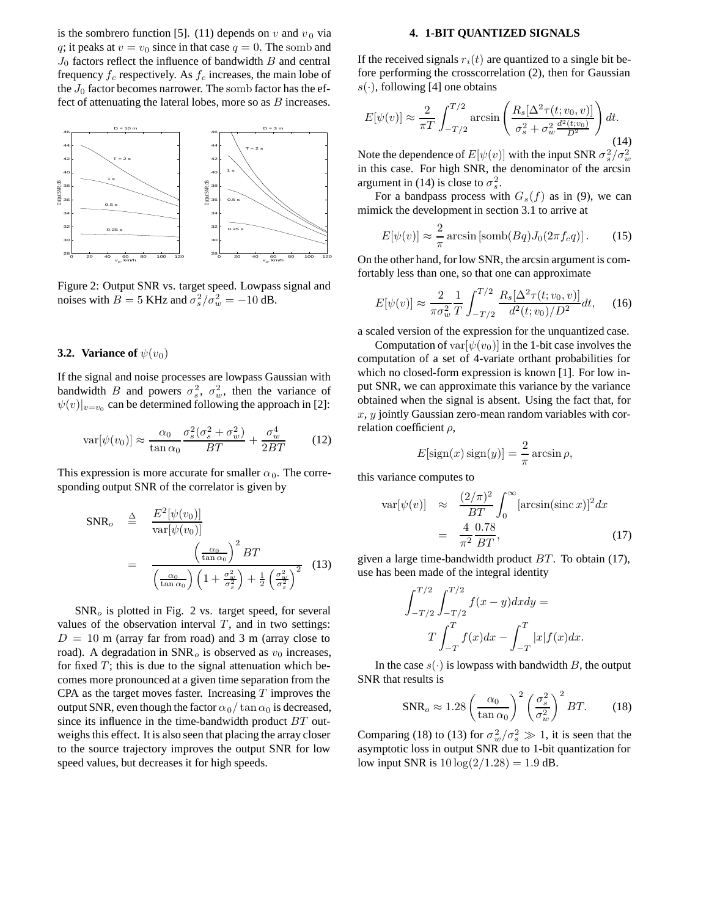is the sombrero function [5]. (11) depends on  $v$  and  $v_0$  via q; it peaks at  $v = v_0$  since in that case  $q = 0$ . The somb and  $J_0$  factors reflect the influence of bandwidth  $B$  and central frequency  $f_c$  respectively. As  $f_c$  increases, the main lobe of the  $J_0$  factor becomes narrower. The somb factor has the effect of attenuating the lateral lobes, more so as  $B$  increases.



Figure 2: Output SNR vs. target speed. Lowpass signal and noises with  $\vec{B} = 5$  KHz and  $\sigma_s^2 / \sigma_w^2 = -10$  dB.

#### **3.2. Variance of**  $\psi(v_0)$

If the signal and noise processes are lowpass Gaussian with bandwidth B and powers  $\sigma_s^2$ ,  $\sigma_w^2$ , then the variance of  $\psi(v)|_{v=v_0}$  can be determined following the approach in [2]:

$$
\text{var}[\psi(v_0)] \approx \frac{\alpha_0}{\tan \alpha_0} \frac{\sigma_s^2(\sigma_s^2 + \sigma_w^2)}{BT} + \frac{\sigma_w^4}{2BT} \tag{12}
$$

This expression is more accurate for smaller  $\alpha_0$ . The corresponding output SNR of the correlator is given by

$$
SNR_o \stackrel{\Delta}{=} \frac{E^2[\psi(v_0)]}{var[\psi(v_0)]}
$$
  
= 
$$
\frac{\left(\frac{\alpha_0}{\tan \alpha_0}\right)^2 BT}{\left(\frac{\alpha_0}{\tan \alpha_0}\right) \left(1 + \frac{\sigma_w^2}{\sigma_s^2}\right) + \frac{1}{2} \left(\frac{\sigma_w^2}{\sigma_s^2}\right)^2}
$$
(13)

 $SNR<sub>o</sub>$  is plotted in Fig. 2 vs. target speed, for several values of the observation interval  $T$ , and in two settings:  $D = 10$  m (array far from road) and 3 m (array close to road). A degradation in  $SNR_0$  is observed as  $v_0$  increases, for fixed  $T$ ; this is due to the signal attenuation which becomes more pronounced at a given time separation from the CPA as the target moves faster. Increasing  $T$  improves the output SNR, even though the factor  $\alpha_0/\tan \alpha_0$  is decreased, since its influence in the time-bandwidth product BT outweighs this effect. It is also seen that placing the array closer to the source trajectory improves the output SNR for low speed values, but decreases it for high speeds.

#### **4. 1-BIT QUANTIZED SIGNALS**

If the received signals  $r_i(t)$  are quantized to a single bit before performing the crosscorrelation (2), then for Gaussian  $s(\cdot)$ , following [4] one obtains

$$
E[\psi(v)] \approx \frac{2}{\pi T} \int_{-T/2}^{T/2} \arcsin\left(\frac{R_s[\Delta^2 \tau(t; v_0, v)]}{\sigma_s^2 + \sigma_w^2 \frac{d^2(t; v_0)}{D^2}}\right) dt.
$$
\n(14)

Note the dependence of  $E[\psi(v)]$  with the input SNR  $\sigma_s^2/\sigma_w^2$ <br>in this case. For high SNR, the depominator of the arcsin in this case. For high SNR, the denominator of the arcsin argument in (14) is close to  $\sigma_s^2$ .

For a bandpass process with  $G_s(f)$  as in (9), we can mimick the development in section 3.1 to arrive at

$$
E[\psi(v)] \approx \frac{2}{\pi} \arcsin\left[\text{comb}(Bq)J_0(2\pi f_c q)\right].\tag{15}
$$

On the other hand, for low SNR, the arcsin argument is comfortably less than one, so that one can approximate

$$
E[\psi(v)] \approx \frac{2}{\pi \sigma_w^2} \frac{1}{T} \int_{-T/2}^{T/2} \frac{R_s[\Delta^2 \tau(t; v_0, v)]}{d^2(t; v_0)/D^2} dt,
$$
 (16)

a scaled version of the expression for the unquantized case.

Computation of var $[\psi(v_0)]$  in the 1-bit case involves the computation of a set of 4-variate orthant probabilities for which no closed-form expression is known [1]. For low input SNR, we can approximate this variance by the variance obtained when the signal is absent. Using the fact that, for  $x, y$  jointly Gaussian zero-mean random variables with correlation coefficient  $\rho$ ,

$$
E[\text{sign}(x)\,\text{sign}(y)] = \frac{2}{\pi}\arcsin\rho,
$$

this variance computes to

$$
\begin{aligned}\n\text{var}[\psi(v)] &\approx \frac{(2/\pi)^2}{BT} \int_0^\infty [\arcsin(\operatorname{sinc} x)]^2 dx \\
&= \frac{4}{\pi^2} \frac{0.78}{BT},\n\end{aligned} \tag{17}
$$

given a large time-bandwidth product  $BT$ . To obtain (17), use has been made of the integral identity

$$
\int_{-T/2}^{T/2} \int_{-T/2}^{T/2} f(x - y) dx dy =
$$
  

$$
T \int_{-T}^{T} f(x) dx - \int_{-T}^{T} |x| f(x) dx.
$$

In the case  $s(.)$  is lowpass with bandwidth B, the output SNR that results is

$$
\text{SNR}_o \approx 1.28 \left(\frac{\alpha_0}{\tan \alpha_0}\right)^2 \left(\frac{\sigma_s^2}{\sigma_w^2}\right)^2 BT. \tag{18}
$$

Comparing (18) to (13) for  $\sigma_w^2/\sigma_s^2 \gg 1$ , it is seen that the assumptotic loss in output SNR due to 1-bit quantization for asymptotic loss in output SNR due to 1-bit quantization for low input SNR is  $10 \log(2/1.28) = 1.9$  dB.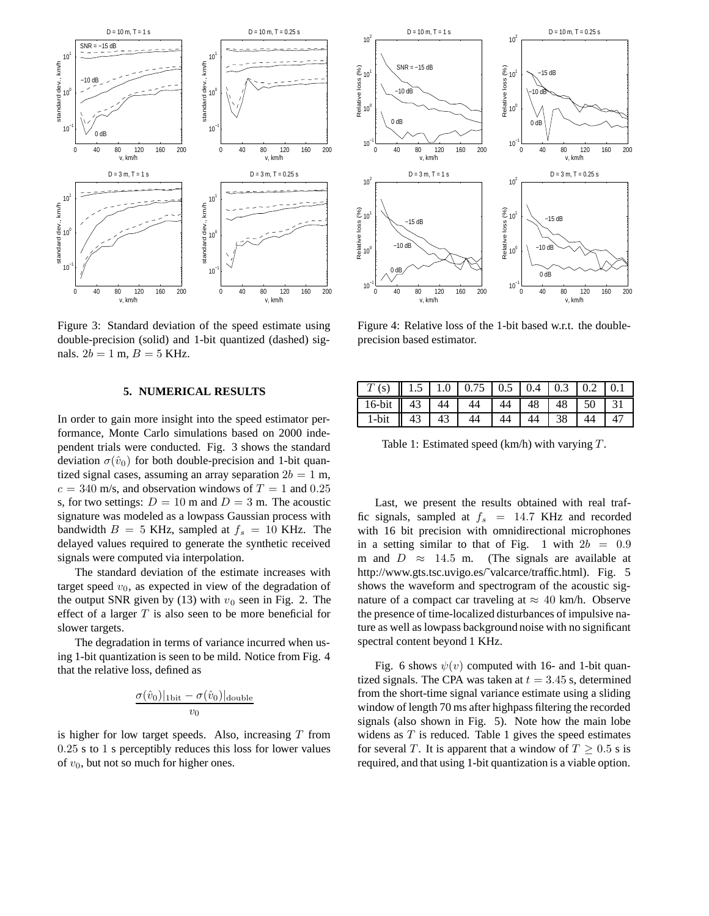

Figure 3: Standard deviation of the speed estimate using double-precision (solid) and 1-bit quantized (dashed) signals.  $2b = 1$  m,  $B = 5$  KHz.

### **5. NUMERICAL RESULTS**

In order to gain more insight into the speed estimator performance, Monte Carlo simulations based on 2000 independent trials were conducted. Fig. 3 shows the standard deviation  $\sigma(\hat{v}_0)$  for both double-precision and 1-bit quantized signal cases, assuming an array separation  $2b = 1$  m,  $c = 340$  m/s, and observation windows of  $T = 1$  and 0.25 s, for two settings:  $D = 10$  m and  $D = 3$  m. The acoustic signature was modeled as a lowpass Gaussian process with bandwidth  $B = 5$  KHz, sampled at  $f_s = 10$  KHz. The delayed values required to generate the synthetic received signals were computed via interpolation.

The standard deviation of the estimate increases with target speed  $v_0$ , as expected in view of the degradation of the output SNR given by (13) with  $v_0$  seen in Fig. 2. The effect of a larger  $T$  is also seen to be more beneficial for slower targets.

The degradation in terms of variance incurred when using 1-bit quantization is seen to be mild. Notice from Fig. 4 that the relative loss, defined as

$$
\frac{\sigma(\hat{v}_0)|_{\text{1bit}} - \sigma(\hat{v}_0)|_{\text{double}}}{v_0}
$$

is higher for low target speeds. Also, increasing  $T$  from 0.25 s to 1 s perceptibly reduces this loss for lower values of  $v_0$ , but not so much for higher ones.



Figure 4: Relative loss of the 1-bit based w.r.t. the doubleprecision based estimator.

| $T(s)$   1.5   1.0   0.75   0.5   0.4   0.3   0.2   0.1 |  |  |  |  |
|---------------------------------------------------------|--|--|--|--|
| 16-bit 43 44 44 44 48 48 50 31                          |  |  |  |  |
| 1-bit $\parallel$ 43   43   44   44   44   38   44   47 |  |  |  |  |

Table 1: Estimated speed  $(km/h)$  with varying  $T$ .

Last, we present the results obtained with real traffic signals, sampled at  $f_s$  = 14.7 KHz and recorded with 16 bit precision with omnidirectional microphones in a setting similar to that of Fig. 1 with  $2b = 0.9$ m and  $D \approx 14.5$  m. (The signals are available at http://www.gts.tsc.uvigo.es/˜valcarce/traffic.html). Fig. 5 shows the waveform and spectrogram of the acoustic signature of a compact car traveling at  $\approx$  40 km/h. Observe the presence of time-localized disturbances of impulsive nature as well as lowpass background noise with no significant spectral content beyond 1 KHz.

Fig. 6 shows  $\psi(v)$  computed with 16- and 1-bit quantized signals. The CPA was taken at  $t = 3.45$  s, determined from the short-time signal variance estimate using a sliding window of length 70 ms after highpass filtering the recorded signals (also shown in Fig. 5). Note how the main lobe widens as  $T$  is reduced. Table 1 gives the speed estimates for several T. It is apparent that a window of  $T \geq 0.5$  s is required, and that using 1-bit quantization is a viable option.